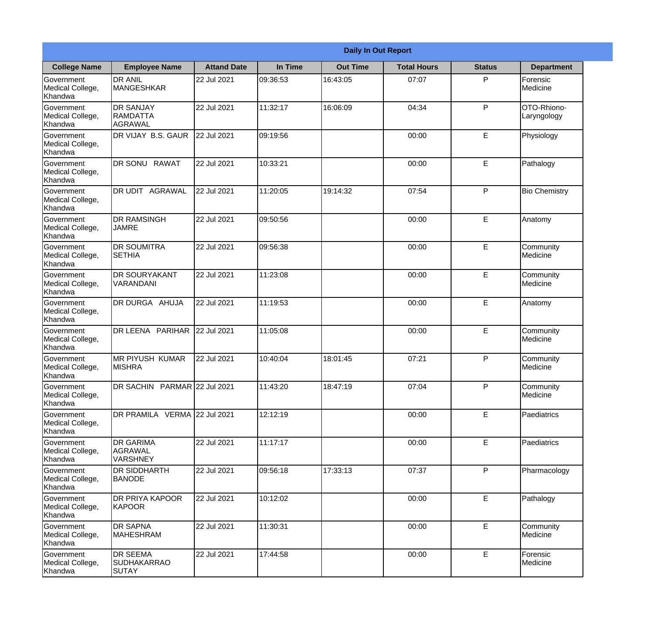|                                                  |                                                | <b>Daily In Out Report</b> |          |                 |                    |               |                            |  |
|--------------------------------------------------|------------------------------------------------|----------------------------|----------|-----------------|--------------------|---------------|----------------------------|--|
| <b>College Name</b>                              | <b>Employee Name</b>                           | <b>Attand Date</b>         | In Time  | <b>Out Time</b> | <b>Total Hours</b> | <b>Status</b> | <b>Department</b>          |  |
| Government<br>Medical College,<br>Khandwa        | <b>DR ANIL</b><br><b>MANGESHKAR</b>            | 22 Jul 2021                | 09:36:53 | 16:43:05        | 07:07              | P             | Forensic<br>Medicine       |  |
| Government<br>Medical College,<br>Khandwa        | <b>DR SANJAY</b><br><b>RAMDATTA</b><br>AGRAWAL | 22 Jul 2021                | 11:32:17 | 16:06:09        | 04:34              | P             | OTO-Rhiono-<br>Laryngology |  |
| <b>Government</b><br>Medical College,<br>Khandwa | <b>IDR VIJAY B.S. GAUR</b>                     | 22 Jul 2021                | 09:19:56 |                 | 00:00              | E             | Physiology                 |  |
| <b>Government</b><br>Medical College,<br>Khandwa | <b>DR SONU RAWAT</b>                           | 22 Jul 2021                | 10:33:21 |                 | 00:00              | E             | Pathalogy                  |  |
| Government<br>Medical College,<br>Khandwa        | DR UDIT<br><b>AGRAWAL</b>                      | 22 Jul 2021                | 11:20:05 | 19:14:32        | 07:54              | P             | <b>Bio Chemistry</b>       |  |
| Government<br>Medical College,<br>Khandwa        | <b>DR RAMSINGH</b><br><b>JAMRE</b>             | 22 Jul 2021                | 09:50:56 |                 | 00:00              | $\mathsf E$   | Anatomy                    |  |
| <b>Government</b><br>Medical College,<br>Khandwa | <b>DR SOUMITRA</b><br><b>SETHIA</b>            | 22 Jul 2021                | 09:56:38 |                 | 00:00              | E             | Community<br>Medicine      |  |
| <b>Government</b><br>Medical College,<br>Khandwa | <b>DR SOURYAKANT</b><br>VARANDANI              | 22 Jul 2021                | 11:23:08 |                 | 00:00              | E             | Community<br>Medicine      |  |
| Government<br>Medical College,<br>Khandwa        | <b>DR DURGA AHUJA</b>                          | 22 Jul 2021                | 11:19:53 |                 | 00:00              | E             | Anatomy                    |  |
| Government<br>Medical College,<br>Khandwa        | DR LEENA PARIHAR                               | 22 Jul 2021                | 11:05:08 |                 | 00:00              | E             | Community<br>Medicine      |  |
| Government<br>Medical College,<br>Khandwa        | IMR PIYUSH KUMAR<br><b>MISHRA</b>              | 22 Jul 2021                | 10:40:04 | 18:01:45        | 07:21              | P             | Community<br>Medicine      |  |
| Government<br>Medical College,<br>Khandwa        | DR SACHIN PARMAR 22 Jul 2021                   |                            | 11:43:20 | 18:47:19        | 07:04              | P             | Community<br>Medicine      |  |
| Government<br>Medical College,<br>Khandwa        | DR PRAMILA VERMA 22 Jul 2021                   |                            | 12:12:19 |                 | 00:00              | E             | Paediatrics                |  |
| Government<br>Medical College,<br>Khandwa        | <b>DR GARIMA</b><br>AGRAWAL<br><b>VARSHNEY</b> | 22 Jul 2021                | 11:17:17 |                 | 00:00              | $\mathsf E$   | Paediatrics                |  |
| <b>Government</b><br>Medical College,<br>Khandwa | IDR SIDDHARTH<br><b>BANODE</b>                 | 22 Jul 2021                | 09:56:18 | 17:33:13        | 07:37              | P             | Pharmacology               |  |
| Government<br>Medical College,<br>Khandwa        | <b>DR PRIYA KAPOOR</b><br>KAPOOR               | 22 Jul 2021                | 10:12:02 |                 | 00:00              | E             | Pathalogy                  |  |
| Government<br>Medical College,<br>Khandwa        | <b>DR SAPNA</b><br><b>MAHESHRAM</b>            | 22 Jul 2021                | 11:30:31 |                 | 00:00              | E             | Community<br>Medicine      |  |
| Government<br>Medical College,<br>Khandwa        | <b>DR SEEMA</b><br><b>SUDHAKARRAO</b><br>SUTAY | 22 Jul 2021                | 17:44:58 |                 | 00:00              | $\mathsf E$   | Forensic<br>Medicine       |  |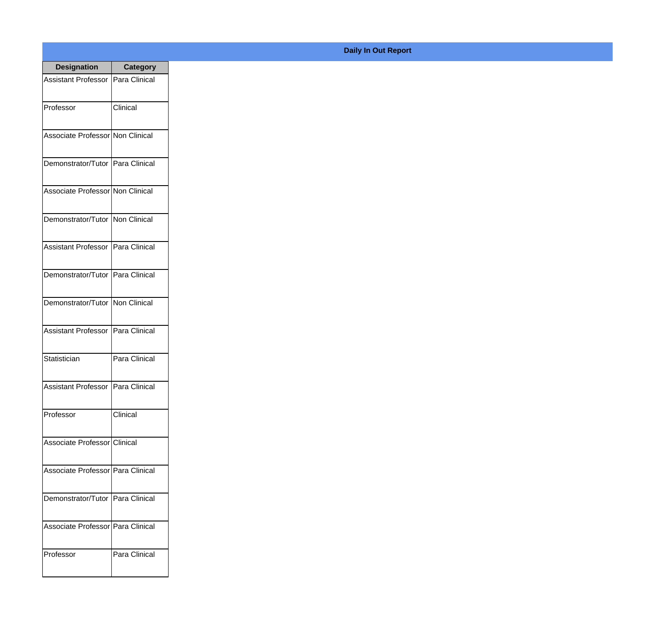| <b>Designation</b>                  | <b>Category</b> |
|-------------------------------------|-----------------|
| <b>Assistant Professor</b>          | Para Clinical   |
| Professor                           | Clinical        |
| Associate Professor Non Clinical    |                 |
| Demonstrator/Tutor   Para Clinical  |                 |
| Associate Professor Non Clinical    |                 |
| Demonstrator/Tutor   Non Clinical   |                 |
| Assistant Professor   Para Clinical |                 |
| Demonstrator/Tutor   Para Clinical  |                 |
| Demonstrator/Tutor   Non Clinical   |                 |
| <b>Assistant Professor</b>          | Para Clinical   |
| Statistician                        | Para Clinical   |
| Assistant Professor   Para Clinical |                 |
| Professor                           | Clinical        |
| Associate Professor Clinical        |                 |
| Associate Professor   Para Clinical |                 |
| Demonstrator/Tutor   Para Clinical  |                 |
| Associate Professor   Para Clinical |                 |
| Professor                           | Para Clinical   |

## **Daily In Out Report**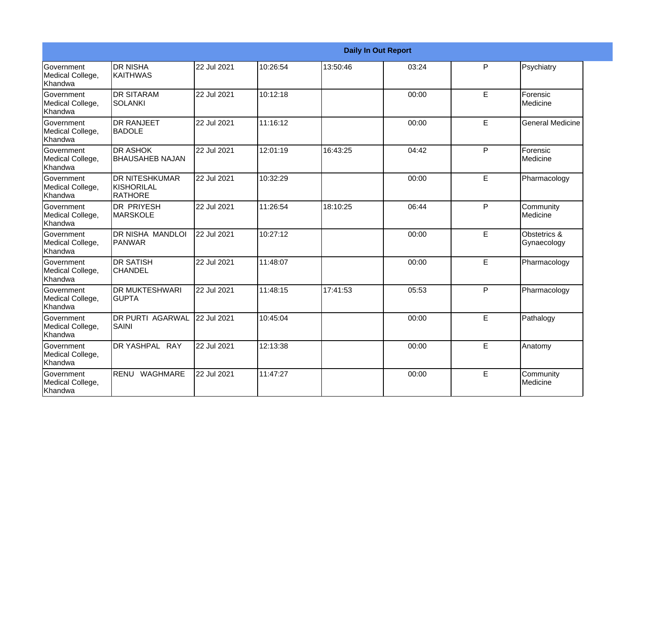|                                           |                                                | <b>Daily In Out Report</b> |          |          |       |    |                             |
|-------------------------------------------|------------------------------------------------|----------------------------|----------|----------|-------|----|-----------------------------|
| Government<br>Medical College,<br>Khandwa | <b>DR NISHA</b><br><b>KAITHWAS</b>             | 22 Jul 2021                | 10:26:54 | 13:50:46 | 03:24 | P  | Psychiatry                  |
| Government<br>Medical College,<br>Khandwa | <b>DR SITARAM</b><br><b>SOLANKI</b>            | 22 Jul 2021                | 10:12:18 |          | 00:00 | E  | Forensic<br>Medicine        |
| Government<br>Medical College,<br>Khandwa | <b>DR RANJEET</b><br><b>BADOLE</b>             | 22 Jul 2021                | 11:16:12 |          | 00:00 | E  | <b>General Medicine</b>     |
| Government<br>Medical College,<br>Khandwa | <b>DR ASHOK</b><br><b>BHAUSAHEB NAJAN</b>      | 22 Jul 2021                | 12:01:19 | 16:43:25 | 04:42 | P  | Forensic<br>Medicine        |
| Government<br>Medical College,<br>Khandwa | <b>DR NITESHKUMAR</b><br>KISHORILAL<br>RATHORE | 22 Jul 2021                | 10:32:29 |          | 00:00 | E. | Pharmacology                |
| Government<br>Medical College,<br>Khandwa | DR PRIYESH<br><b>MARSKOLE</b>                  | 22 Jul 2021                | 11:26:54 | 18:10:25 | 06:44 | P  | Community<br>Medicine       |
| Government<br>Medical College,<br>Khandwa | DR NISHA MANDLOI<br>PANWAR                     | 22 Jul 2021                | 10:27:12 |          | 00:00 | E  | Obstetrics &<br>Gynaecology |
| Government<br>Medical College,<br>Khandwa | <b>DR SATISH</b><br><b>CHANDEL</b>             | 22 Jul 2021                | 11:48:07 |          | 00:00 | E. | Pharmacology                |
| Government<br>Medical College,<br>Khandwa | <b>DR MUKTESHWARI</b><br><b>GUPTA</b>          | 22 Jul 2021                | 11:48:15 | 17:41:53 | 05:53 | P  | Pharmacology                |
| Government<br>Medical College,<br>Khandwa | <b>DR PURTI AGARWAL</b><br><b>SAINI</b>        | 22 Jul 2021                | 10:45:04 |          | 00:00 | E  | Pathalogy                   |
| Government<br>Medical College,<br>Khandwa | DR YASHPAL RAY                                 | 22 Jul 2021                | 12:13:38 |          | 00:00 | E  | Anatomy                     |
| Government<br>Medical College,<br>Khandwa | RENU<br>WAGHMARE                               | 22 Jul 2021                | 11:47:27 |          | 00:00 | E  | Community<br>Medicine       |